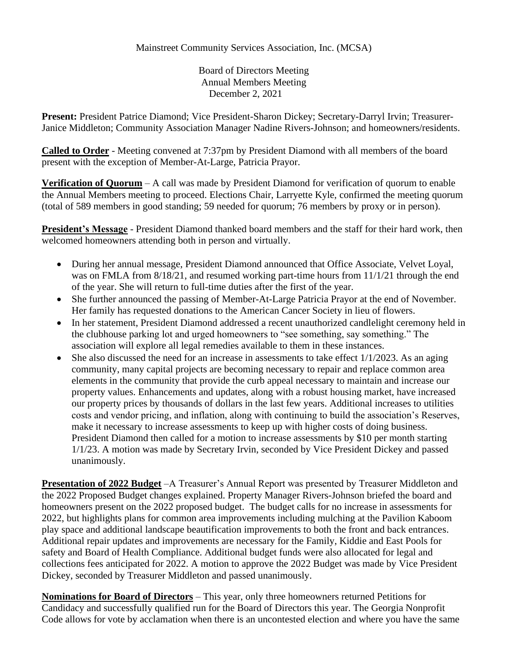Board of Directors Meeting Annual Members Meeting December 2, 2021

**Present:** President Patrice Diamond; Vice President-Sharon Dickey; Secretary-Darryl Irvin; Treasurer-Janice Middleton; Community Association Manager Nadine Rivers-Johnson; and homeowners/residents.

**Called to Order** - Meeting convened at 7:37pm by President Diamond with all members of the board present with the exception of Member-At-Large, Patricia Prayor.

**Verification of Quorum** – A call was made by President Diamond for verification of quorum to enable the Annual Members meeting to proceed. Elections Chair, Larryette Kyle, confirmed the meeting quorum (total of 589 members in good standing; 59 needed for quorum; 76 members by proxy or in person).

**President's Message** - President Diamond thanked board members and the staff for their hard work, then welcomed homeowners attending both in person and virtually.

- During her annual message, President Diamond announced that Office Associate, Velvet Loyal, was on FMLA from 8/18/21, and resumed working part-time hours from 11/1/21 through the end of the year. She will return to full-time duties after the first of the year.
- She further announced the passing of Member-At-Large Patricia Prayor at the end of November. Her family has requested donations to the American Cancer Society in lieu of flowers.
- In her statement, President Diamond addressed a recent unauthorized candlelight ceremony held in the clubhouse parking lot and urged homeowners to "see something, say something." The association will explore all legal remedies available to them in these instances.
- She also discussed the need for an increase in assessments to take effect  $1/1/2023$ . As an aging community, many capital projects are becoming necessary to repair and replace common area elements in the community that provide the curb appeal necessary to maintain and increase our property values. Enhancements and updates, along with a robust housing market, have increased our property prices by thousands of dollars in the last few years. Additional increases to utilities costs and vendor pricing, and inflation, along with continuing to build the association's Reserves, make it necessary to increase assessments to keep up with higher costs of doing business. President Diamond then called for a motion to increase assessments by \$10 per month starting 1/1/23. A motion was made by Secretary Irvin, seconded by Vice President Dickey and passed unanimously.

**Presentation of 2022 Budget** –A Treasurer's Annual Report was presented by Treasurer Middleton and the 2022 Proposed Budget changes explained. Property Manager Rivers-Johnson briefed the board and homeowners present on the 2022 proposed budget. The budget calls for no increase in assessments for 2022, but highlights plans for common area improvements including mulching at the Pavilion Kaboom play space and additional landscape beautification improvements to both the front and back entrances. Additional repair updates and improvements are necessary for the Family, Kiddie and East Pools for safety and Board of Health Compliance. Additional budget funds were also allocated for legal and collections fees anticipated for 2022. A motion to approve the 2022 Budget was made by Vice President Dickey, seconded by Treasurer Middleton and passed unanimously.

**Nominations for Board of Directors** – This year, only three homeowners returned Petitions for Candidacy and successfully qualified run for the Board of Directors this year. The Georgia Nonprofit Code allows for vote by acclamation when there is an uncontested election and where you have the same